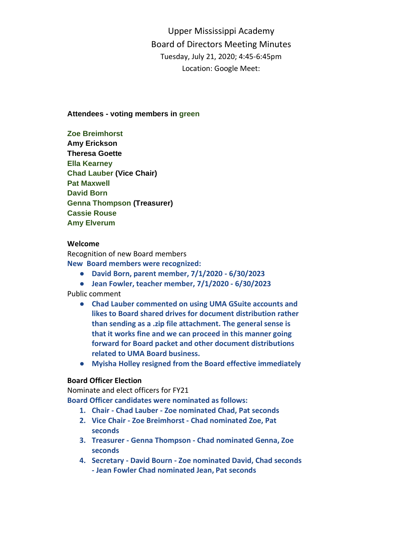Upper Mississippi Academy Board of Directors Meeting Minutes Tuesday, July 21, 2020; 4:45-6:45pm Location: Google Meet:

## **Attendees - voting members in green**

## **Zoe Breimhorst**

**Amy Erickson Theresa Goette Ella Kearney Chad Lauber (Vice Chair) Pat Maxwell David Born Genna Thompson (Treasurer) Cassie Rouse Amy Elverum**

## **Welcome**

Recognition of new Board members

**New Board members were recognized:** 

- **David Born, parent member, 7/1/2020 - 6/30/2023**
- **Jean Fowler, teacher member, 7/1/2020 - 6/30/2023**

Public comment

- **Chad Lauber commented on using UMA GSuite accounts and likes to Board shared drives for document distribution rather than sending as a .zip file attachment. The general sense is that it works fine and we can proceed in this manner going forward for Board packet and other document distributions related to UMA Board business.**
- **Myisha Holley resigned from the Board effective immediately**

# **Board Officer Election**

Nominate and elect officers for FY21 **Board Officer candidates were nominated as follows:**

- **1. Chair - Chad Lauber - Zoe nominated Chad, Pat seconds**
- **2. Vice Chair - Zoe Breimhorst - Chad nominated Zoe, Pat seconds**
- **3. Treasurer - Genna Thompson - Chad nominated Genna, Zoe seconds**
- **4. Secretary - David Bourn - Zoe nominated David, Chad seconds - Jean Fowler Chad nominated Jean, Pat seconds**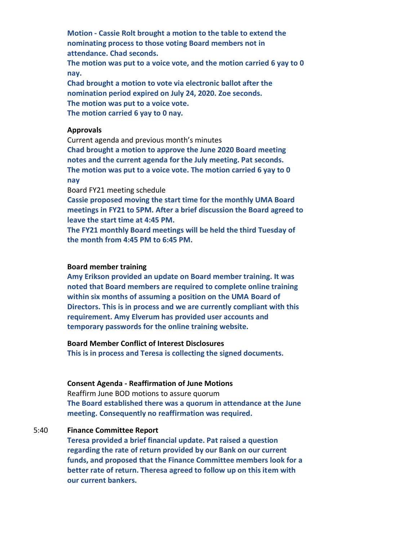**Motion - Cassie Rolt brought a motion to the table to extend the nominating process to those voting Board members not in attendance. Chad seconds. The motion was put to a voice vote, and the motion carried 6 yay to 0 nay. Chad brought a motion to vote via electronic ballot after the nomination period expired on July 24, 2020. Zoe seconds. The motion was put to a voice vote.** 

**The motion carried 6 yay to 0 nay.**

#### **Approvals**

Current agenda and previous month's minutes **Chad brought a motion to approve the June 2020 Board meeting notes and the current agenda for the July meeting. Pat seconds. The motion was put to a voice vote. The motion carried 6 yay to 0 nay**

Board FY21 meeting schedule

**Cassie proposed moving the start time for the monthly UMA Board meetings in FY21 to 5PM. After a brief discussion the Board agreed to leave the start time at 4:45 PM.** 

**The FY21 monthly Board meetings will be held the third Tuesday of the month from 4:45 PM to 6:45 PM.**

## **Board member training**

**Amy Erikson provided an update on Board member training. It was noted that Board members are required to complete online training within six months of assuming a position on the UMA Board of Directors. This is in process and we are currently compliant with this requirement. Amy Elverum has provided user accounts and temporary passwords for the online training website.**

#### **Board Member Conflict of Interest Disclosures**

**This is in process and Teresa is collecting the signed documents.** 

#### **Consent Agenda - Reaffirmation of June Motions**

Reaffirm June BOD motions to assure quorum **The Board established there was a quorum in attendance at the June meeting. Consequently no reaffirmation was required.** 

## 5:40 **Finance Committee Report**

**Teresa provided a brief financial update. Pat raised a question regarding the rate of return provided by our Bank on our current funds, and proposed that the Finance Committee members look for a better rate of return. Theresa agreed to follow up on this item with our current bankers.**